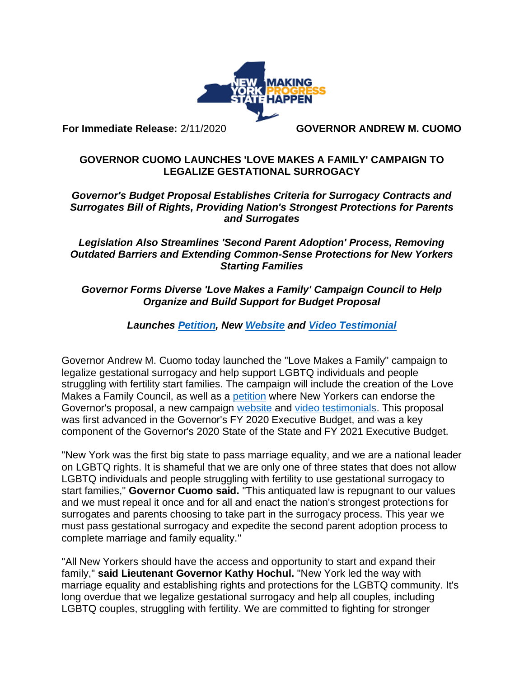

**For Immediate Release:** 2/11/2020 **GOVERNOR ANDREW M. CUOMO**

# **GOVERNOR CUOMO LAUNCHES 'LOVE MAKES A FAMILY' CAMPAIGN TO LEGALIZE GESTATIONAL SURROGACY**

### *Governor's Budget Proposal Establishes Criteria for Surrogacy Contracts and Surrogates Bill of Rights, Providing Nation's Strongest Protections for Parents and Surrogates*

### *Legislation Also Streamlines 'Second Parent Adoption' Process, Removing Outdated Barriers and Extending Common-Sense Protections for New Yorkers Starting Families*

# *Governor Forms Diverse 'Love Makes a Family' Campaign Council to Help Organize and Build Support for Budget Proposal*

# *Launches [Petition,](https://now.ny.gov/page/s/add-your-name-legalize-gestational-surrogacy) New [Website](https://www.governor.ny.gov/programs/legalize-gestational-surrogacy) and [Video Testimonial](https://youtu.be/8aD-cTDGk7g)*

Governor Andrew M. Cuomo today launched the "Love Makes a Family" campaign to legalize gestational surrogacy and help support LGBTQ individuals and people struggling with fertility start families. The campaign will include the creation of the Love Makes a Family Council, as well as a [petition](https://now.ny.gov/page/s/add-your-name-legalize-gestational-surrogacy) where New Yorkers can endorse the Governor's proposal, a new campaign [website](https://www.governor.ny.gov/programs/legalize-gestational-surrogacy) and [video testimonials](https://youtu.be/8aD-cTDGk7g). This proposal was first advanced in the Governor's FY 2020 Executive Budget, and was a key component of the Governor's 2020 State of the State and FY 2021 Executive Budget.

"New York was the first big state to pass marriage equality, and we are a national leader on LGBTQ rights. It is shameful that we are only one of three states that does not allow LGBTQ individuals and people struggling with fertility to use gestational surrogacy to start families," **Governor Cuomo said.** "This antiquated law is repugnant to our values and we must repeal it once and for all and enact the nation's strongest protections for surrogates and parents choosing to take part in the surrogacy process. This year we must pass gestational surrogacy and expedite the second parent adoption process to complete marriage and family equality."

"All New Yorkers should have the access and opportunity to start and expand their family," **said Lieutenant Governor Kathy Hochul.** "New York led the way with marriage equality and establishing rights and protections for the LGBTQ community. It's long overdue that we legalize gestational surrogacy and help all couples, including LGBTQ couples, struggling with fertility. We are committed to fighting for stronger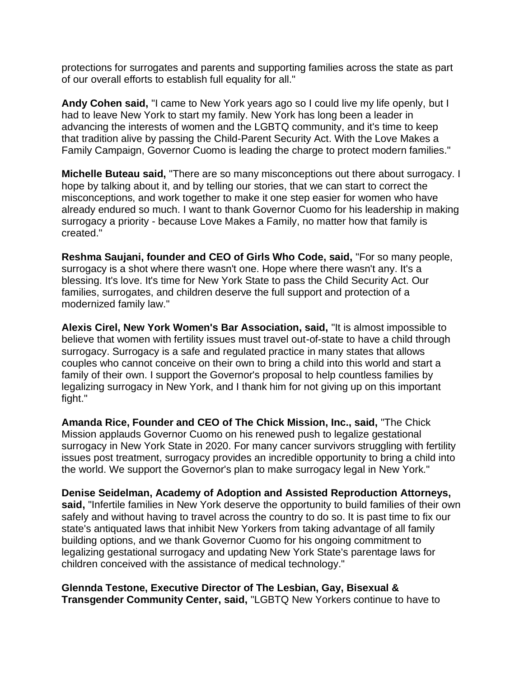protections for surrogates and parents and supporting families across the state as part of our overall efforts to establish full equality for all."

**Andy Cohen said,** "I came to New York years ago so I could live my life openly, but I had to leave New York to start my family. New York has long been a leader in advancing the interests of women and the LGBTQ community, and it's time to keep that tradition alive by passing the Child-Parent Security Act. With the Love Makes a Family Campaign, Governor Cuomo is leading the charge to protect modern families."

**Michelle Buteau said,** "There are so many misconceptions out there about surrogacy. I hope by talking about it, and by telling our stories, that we can start to correct the misconceptions, and work together to make it one step easier for women who have already endured so much. I want to thank Governor Cuomo for his leadership in making surrogacy a priority - because Love Makes a Family, no matter how that family is created."

**Reshma Saujani, founder and CEO of Girls Who Code, said,** "For so many people, surrogacy is a shot where there wasn't one. Hope where there wasn't any. It's a blessing. It's love. It's time for New York State to pass the Child Security Act. Our families, surrogates, and children deserve the full support and protection of a modernized family law."

**Alexis Cirel, New York Women's Bar Association, said,** "It is almost impossible to believe that women with fertility issues must travel out-of-state to have a child through surrogacy. Surrogacy is a safe and regulated practice in many states that allows couples who cannot conceive on their own to bring a child into this world and start a family of their own. I support the Governor's proposal to help countless families by legalizing surrogacy in New York, and I thank him for not giving up on this important fight."

**Amanda Rice, Founder and CEO of The Chick Mission, Inc., said,** "The Chick Mission applauds Governor Cuomo on his renewed push to legalize gestational surrogacy in New York State in 2020. For many cancer survivors struggling with fertility issues post treatment, surrogacy provides an incredible opportunity to bring a child into the world. We support the Governor's plan to make surrogacy legal in New York."

**Denise Seidelman, Academy of Adoption and Assisted Reproduction Attorneys, said,** "Infertile families in New York deserve the opportunity to build families of their own safely and without having to travel across the country to do so. It is past time to fix our state's antiquated laws that inhibit New Yorkers from taking advantage of all family building options, and we thank Governor Cuomo for his ongoing commitment to legalizing gestational surrogacy and updating New York State's parentage laws for children conceived with the assistance of medical technology."

### **Glennda Testone, Executive Director of The Lesbian, Gay, Bisexual & Transgender Community Center, said,** "LGBTQ New Yorkers continue to have to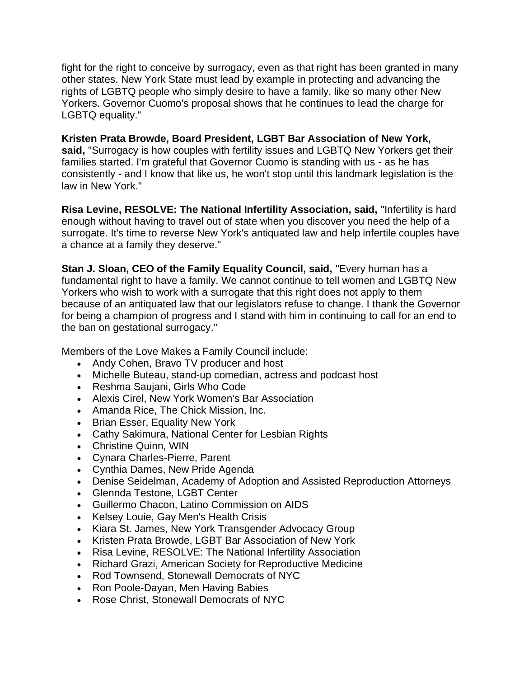fight for the right to conceive by surrogacy, even as that right has been granted in many other states. New York State must lead by example in protecting and advancing the rights of LGBTQ people who simply desire to have a family, like so many other New Yorkers. Governor Cuomo's proposal shows that he continues to lead the charge for LGBTQ equality."

**Kristen Prata Browde, Board President, LGBT Bar Association of New York, said,** "Surrogacy is how couples with fertility issues and LGBTQ New Yorkers get their families started. I'm grateful that Governor Cuomo is standing with us - as he has consistently - and I know that like us, he won't stop until this landmark legislation is the law in New York."

**Risa Levine, RESOLVE: The National Infertility Association, said,** "Infertility is hard enough without having to travel out of state when you discover you need the help of a surrogate. It's time to reverse New York's antiquated law and help infertile couples have a chance at a family they deserve."

**Stan J. Sloan, CEO of the Family Equality Council, said,** "Every human has a fundamental right to have a family. We cannot continue to tell women and LGBTQ New Yorkers who wish to work with a surrogate that this right does not apply to them because of an antiquated law that our legislators refuse to change. I thank the Governor for being a champion of progress and I stand with him in continuing to call for an end to the ban on gestational surrogacy."

Members of the Love Makes a Family Council include:

- Andy Cohen, Bravo TV producer and host
- Michelle Buteau, stand-up comedian, actress and podcast host
- Reshma Saujani, Girls Who Code
- Alexis Cirel, New York Women's Bar Association
- Amanda Rice, The Chick Mission, Inc.
- Brian Esser, Equality New York
- Cathy Sakimura, National Center for Lesbian Rights
- Christine Quinn, WIN
- Cynara Charles-Pierre, Parent
- Cynthia Dames, New Pride Agenda
- Denise Seidelman, Academy of Adoption and Assisted Reproduction Attorneys
- Glennda Testone, LGBT Center
- Guillermo Chacon, Latino Commission on AIDS
- Kelsey Louie, Gay Men's Health Crisis
- Kiara St. James, New York Transgender Advocacy Group
- Kristen Prata Browde, LGBT Bar Association of New York
- Risa Levine, RESOLVE: The National Infertility Association
- Richard Grazi, American Society for Reproductive Medicine
- Rod Townsend, Stonewall Democrats of NYC
- Ron Poole-Dayan, Men Having Babies
- Rose Christ, Stonewall Democrats of NYC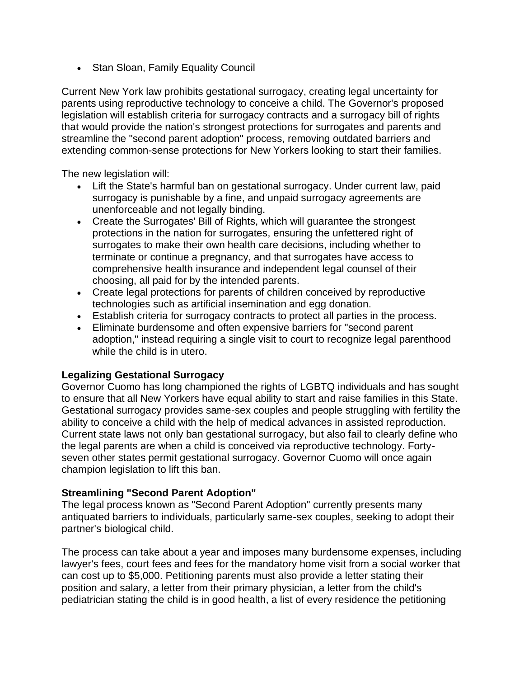• Stan Sloan, Family Equality Council

Current New York law prohibits gestational surrogacy, creating legal uncertainty for parents using reproductive technology to conceive a child. The Governor's proposed legislation will establish criteria for surrogacy contracts and a surrogacy bill of rights that would provide the nation's strongest protections for surrogates and parents and streamline the "second parent adoption" process, removing outdated barriers and extending common-sense protections for New Yorkers looking to start their families.

The new legislation will:

- Lift the State's harmful ban on gestational surrogacy. Under current law, paid surrogacy is punishable by a fine, and unpaid surrogacy agreements are unenforceable and not legally binding.
- Create the Surrogates' Bill of Rights, which will guarantee the strongest protections in the nation for surrogates, ensuring the unfettered right of surrogates to make their own health care decisions, including whether to terminate or continue a pregnancy, and that surrogates have access to comprehensive health insurance and independent legal counsel of their choosing, all paid for by the intended parents.
- Create legal protections for parents of children conceived by reproductive technologies such as artificial insemination and egg donation.
- Establish criteria for surrogacy contracts to protect all parties in the process.
- Eliminate burdensome and often expensive barriers for "second parent adoption," instead requiring a single visit to court to recognize legal parenthood while the child is in utero.

### **Legalizing Gestational Surrogacy**

Governor Cuomo has long championed the rights of LGBTQ individuals and has sought to ensure that all New Yorkers have equal ability to start and raise families in this State. Gestational surrogacy provides same-sex couples and people struggling with fertility the ability to conceive a child with the help of medical advances in assisted reproduction. Current state laws not only ban gestational surrogacy, but also fail to clearly define who the legal parents are when a child is conceived via reproductive technology. Fortyseven other states permit gestational surrogacy. Governor Cuomo will once again champion legislation to lift this ban.

### **Streamlining "Second Parent Adoption"**

The legal process known as "Second Parent Adoption" currently presents many antiquated barriers to individuals, particularly same-sex couples, seeking to adopt their partner's biological child.

The process can take about a year and imposes many burdensome expenses, including lawyer's fees, court fees and fees for the mandatory home visit from a social worker that can cost up to \$5,000. Petitioning parents must also provide a letter stating their position and salary, a letter from their primary physician, a letter from the child's pediatrician stating the child is in good health, a list of every residence the petitioning